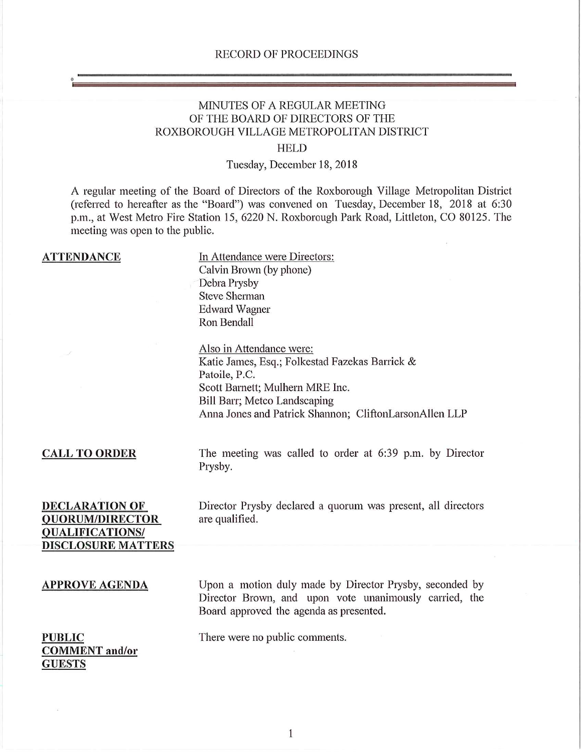# MINUTES OF A REGULAR MEETING OF THE BOARD OF DIRECTORS OF THE ROXBOROUGH VILLAGE METROPOLITAN DISTRICT

## **HELD**

## Tuesday, December 18, 2018

A regular meeting of the Board of Directors of the Roxborough Village Metropolitan District (referred to hereafter as the "Board") was convened on Tuesday, December 18, 2018 at 6:30 p.m., at West Metro Fire Station *15,* 6220 N. Roxborough Park Road, Littleton, CO 80125. The meeting was open to the public.

| <b>ATTENDANCE</b>                                                                                      | In Attendance were Directors:<br>Calvin Brown (by phone)<br>Debra Prysby<br><b>Steve Sherman</b><br><b>Edward Wagner</b><br>Ron Bendall                                                                                  |
|--------------------------------------------------------------------------------------------------------|--------------------------------------------------------------------------------------------------------------------------------------------------------------------------------------------------------------------------|
|                                                                                                        | Also in Attendance were:<br>Katie James, Esq.; Folkestad Fazekas Barrick &<br>Patoile, P.C.<br>Scott Barnett; Mulhern MRE Inc.<br>Bill Barr; Metco Landscaping<br>Anna Jones and Patrick Shannon; CliftonLarsonAllen LLP |
| <b>CALL TO ORDER</b>                                                                                   | The meeting was called to order at 6:39 p.m. by Director<br>Prysby.                                                                                                                                                      |
| <b>DECLARATION OF</b><br><b>QUORUM/DIRECTOR</b><br><b>QUALIFICATIONS/</b><br><b>DISCLOSURE MATTERS</b> | Director Prysby declared a quorum was present, all directors<br>are qualified.                                                                                                                                           |
| <b>APPROVE AGENDA</b>                                                                                  | Upon a motion duly made by Director Prysby, seconded by<br>Director Brown, and upon vote unanimously carried, the<br>Board approved the agenda as presented.                                                             |
| <b>PUBLIC</b><br><b>COMMENT</b> and/or<br><b>GUESTS</b>                                                | There were no public comments.                                                                                                                                                                                           |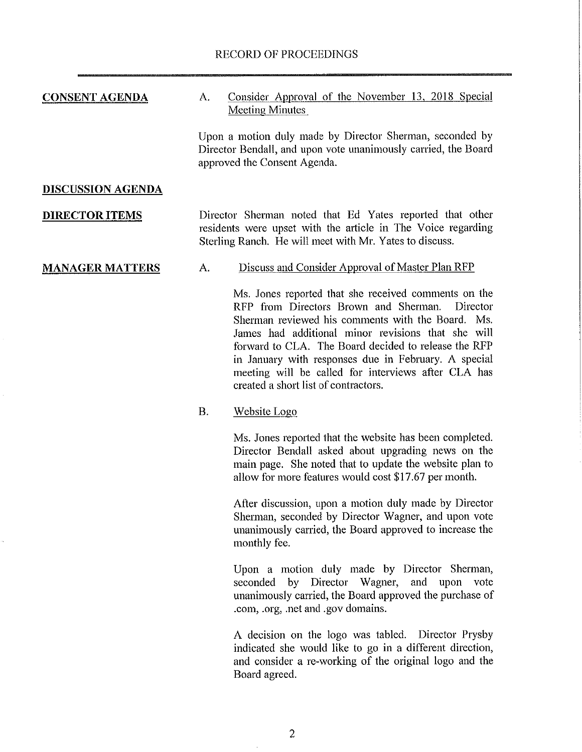| CONSENT AGENDA           | Consider Approval of the November 13, 2018 Special<br>А.<br>Meeting Minutes                                                                                                                                       |  |  |  |
|--------------------------|-------------------------------------------------------------------------------------------------------------------------------------------------------------------------------------------------------------------|--|--|--|
|                          | Upon a motion duly made by Director Sherman, seconded by<br>Director Bendall, and upon vote unanimously carried, the Board<br>approved the Consent Agenda.                                                        |  |  |  |
| <b>DISCUSSION AGENDA</b> |                                                                                                                                                                                                                   |  |  |  |
| <b>DIRECTOR ITEMS</b>    | Director Sherman noted that Ed Yates reported that other<br>residents were upset with the article in The Voice regarding<br>Sterling Ranch. He will meet with Mr. Yates to discuss.                               |  |  |  |
| <b>MANAGER MATTERS</b>   | Discuss and Consider Approval of Master Plan RFP<br>А.                                                                                                                                                            |  |  |  |
|                          | Ms. Jones reported that she received comments on the<br>RFP from Directors Brown and Sherman. Director<br>Sherman reviewed his comments with the Board. Ms.<br>James had additional minor revisions that she will |  |  |  |

forward to CLA. The Board decided to release the RFP in January with responses due in February. A special meeting will be called for interviews after CLA has created a short list of contractors.

#### **B.** Website Logo

Ms. Jones reported that the website has been completed. Director Bendall asked about upgrading news on the main page. She noted that to update the website plan to allow for more features would cost \$17.67 per month.

After discussion, upon a motion duly made by Director Sherman, seconded by Director Wagner, and upon vote unanimously carried, the Board approved to increase the monthly fee.

Upon a motion duly made by Director Sherman, seconded by Director Wagner, and upon vote unanimously carried, the Board approved the purchase of .com, .org, net and .gov domains.

A decision on the logo was tabled. Director Prysby indicated she would like to go in a different direction, and consider a re-working of the original logo and the Board agreed.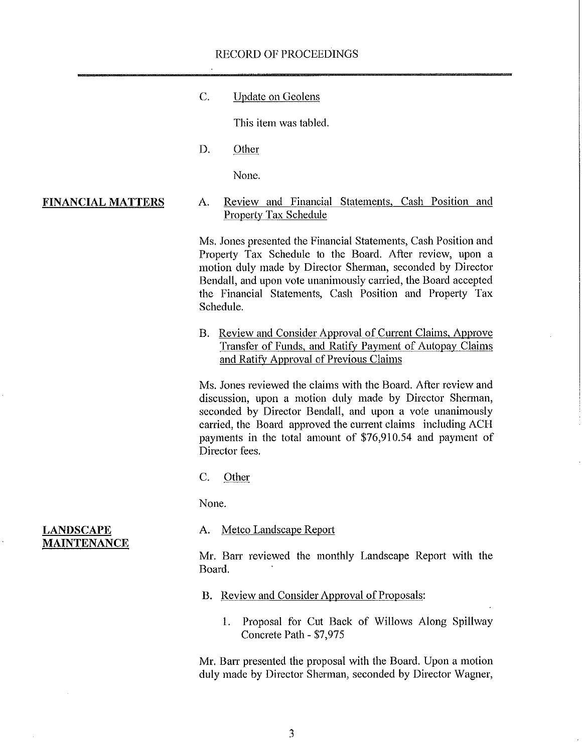#### RECORD OF PROCEEDINGS

C. Update on Geolens

This item was tabled.

D. Other

None.

**FINANCIAL MATTERS**  A. Review and Financial Statements, Cash Position and Property Tax Schedule

> Ms. Jones presented the Financial Statements, Cash Position and Property Tax Schedule to the Board. After review, upon a motion duly made by Director Sherman, seconded by Director Bendall, and upon vote unanimously carried, the Board accepted the Financial Statements, Cash Position and Property Tax Schedule.

> B. Review and Consider Approval of Current Claims. Approve Transfer of Funds, and Ratify Payment of Autopay Claims and Ratify Approval of Previous Claims

> Ms. Jones reviewed the claims with the Board. After review and discussion, upon a motion duly made by Director Sherman, seconded by Director Bendall, and upon a vote unanimously carried, the Board approved the current claims including ACH payments in the total amount of \$76,910.54 and payment of Director fees.

C. Other

None.

A. Metco Landscape Report

Mr. Barr reviewed the monthly Landscape Report with the Board.

- B. Review and Consider Approval of Proposals:
	- 1. Proposal for Cut Back of Willows Along Spillway Concrete Path - *\$7,975*

Mr. Barr presented the proposal with the Board. Upon a motion duly made by Director Sherman, seconded by Director Wagner,

#### **LANDSCAPE MAINTENANCE**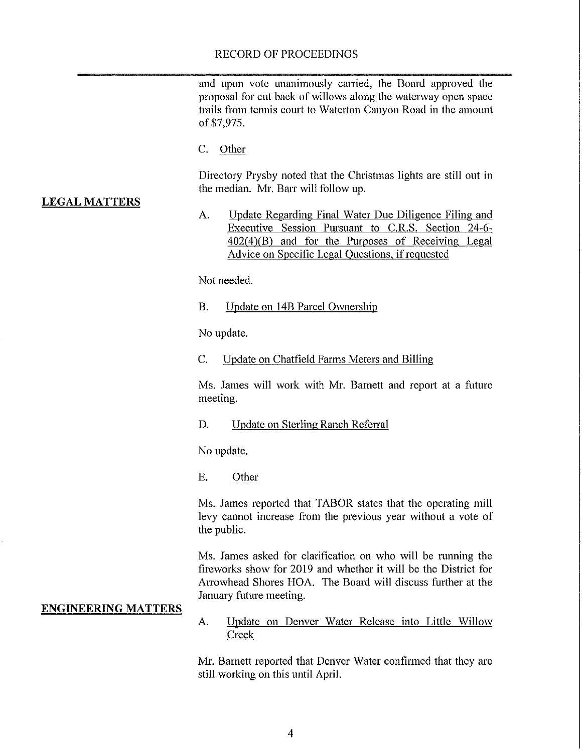#### RECORD OF PROCEEDINGS

and upon vote unanimously carried, the Board approved the proposal for cut back of willows along the waterway open space trails from tennis court to Waterton Canyon Road in the amount of \$7,975.

C. Other

Directory Prysby noted that the Christmas lights are still out in the median. Mr. Barr will follow up.

### LEGAL MATTERS

A. Update Regarding Final Water Due Diligence Filing and Executive Session Pursuant to C.R.S. Section 24-6- $402(4)(B)$  and for the Purposes of Receiving Legal Advice on Specific Legal Ouestions. if requested

Not needed.

B. Update on 14B Parcel Ownership

No update.

C. Update on Chatfield Farms Meters and Billing

Ms. James will work with Mr. Barnett and report at a future meeting.

D. Update on Sterling Ranch Referral

No update.

E. Other

Ms. James reported that TABOR states that the operating mill levy cannot increase from the previous year without a vote of the public.

Ms. James asked for clarification on who will be running the fireworks show for 2019 and whether it will be the District for Arrowhead Shores HOA. The Board will discuss further at the January future meeting.

#### **ENGINEERING MATTERS**

A. Update on Denver Water Release into Little Willow Creek

Mr. Barnett reported that Denver Water confirmed that they are still working on this until April.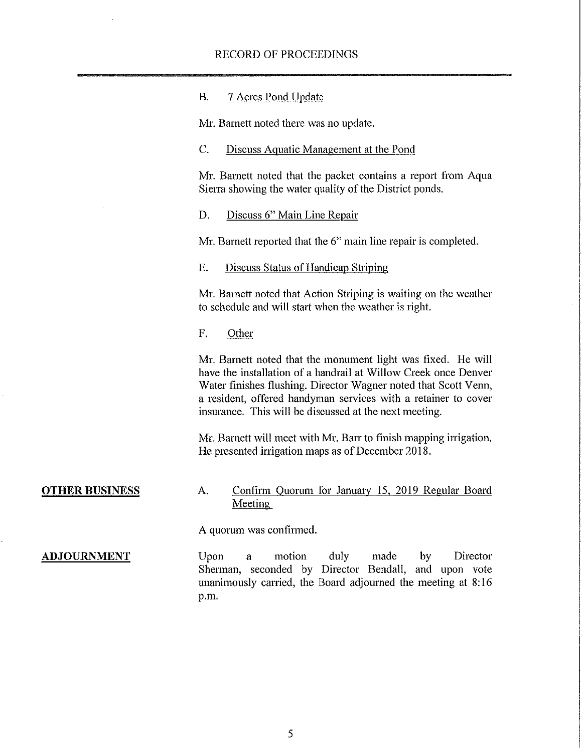| В. | 7 Acres Pond Update |  |  |
|----|---------------------|--|--|
|    |                     |  |  |

Mr. Barnett noted there was no update.

#### C. Discuss Aquatic Management at the Pond

Mr. Barnett noted that the packet contains a report from Aqua Sierra showing the water quality of the District ponds.

D. Discuss 6" Main Line Repair

Mr. Barnett reported that the 6" main line repair is completed.

E. Discuss Status of Handicap Striping

Mr. Barnett noted that Action Striping is waiting on the weather to schedule and will start when the weather is right.

F. Other

Mr. Barnett noted that the monument light was fixed. He will have the installation of a handrail at Willow Creek once Denver Water finishes flushing. Director Wagner noted that Scott Venn, a resident, offered handyman services with a retainer to cover insurance. This will be discussed at the next meeting.

Mr. Barnett will meet with Mr. Barr to finish mapping irrigation. He presented irrigation maps as of December 2018.

## **OTHER BUSINESS** A. Confirm Quorum for January 15, 2019 Regular Board Meeting

A quorum was confirmed.

**ADJOURNMENT** Upon a motion duly made by Director Sherman, seconded by Director Bendall, and upon vote unanimously carried, the Board adjourned the meeting at 8:16 p.m.